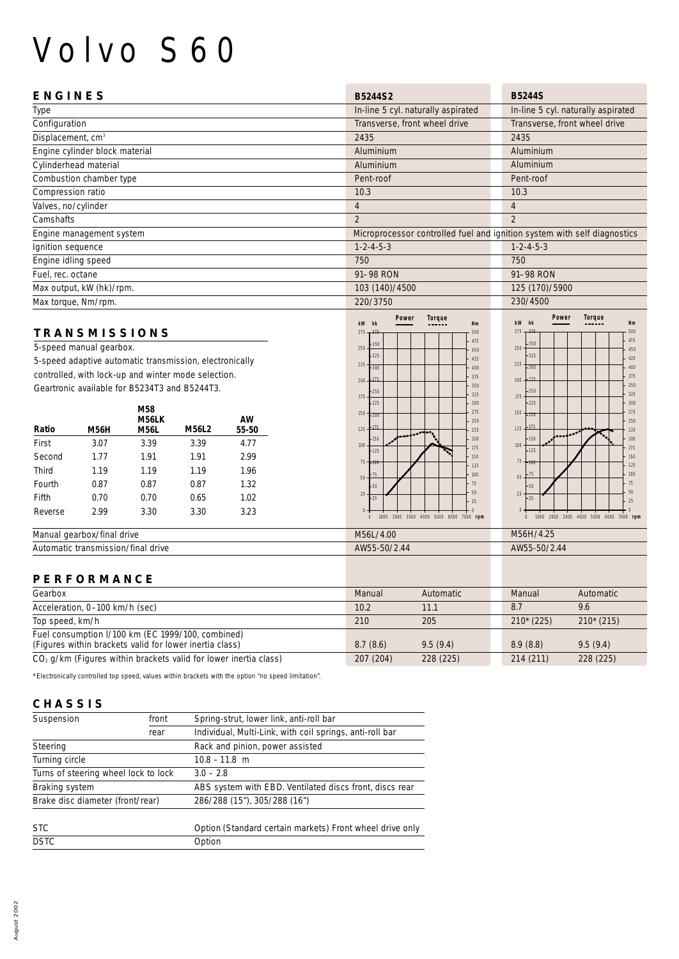# Volvo S60

| <b>ENGINES</b>                 | <b>B5244S2</b>                                                           | <b>B5244S</b>                      |
|--------------------------------|--------------------------------------------------------------------------|------------------------------------|
| Type                           | In-line 5 cyl. naturally aspirated                                       | In-line 5 cyl. naturally aspirated |
| Configuration                  | Transverse, front wheel drive                                            | Transverse, front wheel drive      |
| Displacement, cm <sup>3</sup>  | 2435                                                                     | 2435                               |
| Engine cylinder block material | Aluminium                                                                | Aluminium                          |
| Cylinderhead material          | Aluminium                                                                | Aluminium                          |
| Combustion chamber type        | Pent-roof                                                                | Pent-roof                          |
| Compression ratio              | 10.3                                                                     | 10.3                               |
| Valves, no/cylinder            | $\overline{4}$                                                           | $\overline{4}$                     |
| Camshafts                      | $\overline{2}$                                                           | $\overline{2}$                     |
| Engine management system       | Microprocessor controlled fuel and ignition system with self diagnostics |                                    |
| Ignition sequence              | $1 - 2 - 4 - 5 - 3$                                                      | $1 - 2 - 4 - 5 - 3$                |
| Engine idling speed            | 750                                                                      | 750                                |
| Fuel, rec. octane              | 91-98 RON                                                                | 91-98 RON                          |
| Max output, kW (hk)/rpm.       | 103 (140)/4500                                                           | 125 (170)/5900                     |
| Max torque, Nm/rpm.            | 220/3750                                                                 | 230/4500                           |
|                                |                                                                          |                                    |

#### **TRANSMISSIONS**

5-speed manual gearbox. 5-speed adaptive automatic transmission, electronically controlled, with lock-up and winter mode selection. Geartronic available for B5234T3 and B5244T3.

|         |             | M58<br>M56LK |              | AW    |
|---------|-------------|--------------|--------------|-------|
| Ratio   | <b>M56H</b> | <b>M56L</b>  | <b>M56L2</b> | 55-50 |
| First   | 3.07        | 3.39         | 3.39         | 4.77  |
| Second  | 1.77        | 1.91         | 1.91         | 2.99  |
| Third   | 1.19        | 1.19         | 1.19         | 1.96  |
| Fourth  | 0.87        | 0.87         | 0.87         | 1.32  |
| Fifth   | 0.70        | 0.70         | 0.65         | 1.02  |
| Reverse | 2.99        | 3.30         | 3.30         | 3.23  |





| Manual<br>.rbox/final drive                                     | /4.00<br><b>M56L</b>            | $\sqrt{4}$<br>M56H/4.25 |
|-----------------------------------------------------------------|---------------------------------|-------------------------|
| $\cdots$<br>ı/final<br>Autor<br>drive<br>transmission/<br>natic | 70/2.44<br><b>AMER</b><br>י∩פ−נ | AW55-50/2.44            |
|                                                                 |                                 |                         |

### **PERFORMANCE**

| Gearbox                                                                                                      | Manual    | Automatic | Manual      | <b>Automatic</b> |
|--------------------------------------------------------------------------------------------------------------|-----------|-----------|-------------|------------------|
| Acceleration, 0-100 km/h (sec)                                                                               | 10.2      | 11.1      | 8.7         | 9.6              |
| Top speed, km/h                                                                                              | 210       | 205       | $210*(225)$ | $210*(215)$      |
| Fuel consumption I/100 km (EC 1999/100, combined)<br>(Figures within brackets valid for lower inertia class) | 8.7(8.6)  | 9.5(9.4)  | 8.9(8.8)    | 9.5(9.4)         |
| $CO2$ g/km (Figures within brackets valid for lower inertia class)                                           | 207 (204) | 228 (225) | 214 (211)   | 228 (225)        |

\* Electronically controlled top speed, values within brackets with the option "no speed limitation".

### **CHASSIS**

| Suspension<br>front                         |      | Spring-strut, lower link, anti-roll bar                  |  |
|---------------------------------------------|------|----------------------------------------------------------|--|
|                                             | rear | Individual, Multi-Link, with coil springs, anti-roll bar |  |
| Rack and pinion, power assisted<br>Steering |      |                                                          |  |
| Turning circle                              |      | $10.8 - 11.8$ m                                          |  |
| Turns of steering wheel lock to lock        |      | $3.0 - 2.8$                                              |  |
| <b>Braking system</b>                       |      | ABS system with EBD. Ventilated discs front, discs rear  |  |
| Brake disc diameter (front/rear)            |      | 286/288 (15"), 305/288 (16")                             |  |
| <b>STC</b>                                  |      | Option (Standard certain markets) Front wheel drive only |  |
| <b>DSTC</b>                                 |      | Option                                                   |  |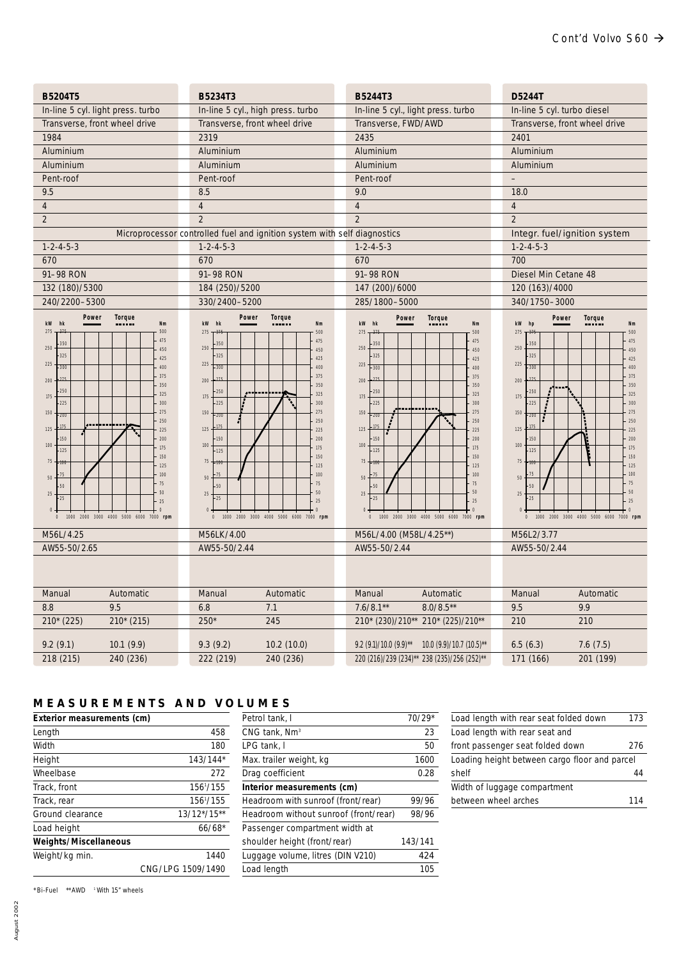| B5204T5                                                                                                                                                                                                                                                                                                                                                                                                                         | B5234T3                                                                                                                                                                                                                                                                                                                                                                                                                                                           | B5244T3                                                                                                                                                                                                                                                                                                                                                                                                                | D5244T                                                                                                                                                                                                                                                                                                                                                                                                     |  |
|---------------------------------------------------------------------------------------------------------------------------------------------------------------------------------------------------------------------------------------------------------------------------------------------------------------------------------------------------------------------------------------------------------------------------------|-------------------------------------------------------------------------------------------------------------------------------------------------------------------------------------------------------------------------------------------------------------------------------------------------------------------------------------------------------------------------------------------------------------------------------------------------------------------|------------------------------------------------------------------------------------------------------------------------------------------------------------------------------------------------------------------------------------------------------------------------------------------------------------------------------------------------------------------------------------------------------------------------|------------------------------------------------------------------------------------------------------------------------------------------------------------------------------------------------------------------------------------------------------------------------------------------------------------------------------------------------------------------------------------------------------------|--|
| In-line 5 cyl. light press. turbo                                                                                                                                                                                                                                                                                                                                                                                               | In-line 5 cyl., high press. turbo                                                                                                                                                                                                                                                                                                                                                                                                                                 | In-line 5 cyl., light press. turbo                                                                                                                                                                                                                                                                                                                                                                                     | In-line 5 cyl. turbo diesel                                                                                                                                                                                                                                                                                                                                                                                |  |
| Transverse, front wheel drive                                                                                                                                                                                                                                                                                                                                                                                                   | Transverse, front wheel drive                                                                                                                                                                                                                                                                                                                                                                                                                                     | Transverse, FWD/AWD                                                                                                                                                                                                                                                                                                                                                                                                    | Transverse, front wheel drive                                                                                                                                                                                                                                                                                                                                                                              |  |
| 1984                                                                                                                                                                                                                                                                                                                                                                                                                            | 2319                                                                                                                                                                                                                                                                                                                                                                                                                                                              | 2435                                                                                                                                                                                                                                                                                                                                                                                                                   | 2401                                                                                                                                                                                                                                                                                                                                                                                                       |  |
| Aluminium                                                                                                                                                                                                                                                                                                                                                                                                                       | Aluminium                                                                                                                                                                                                                                                                                                                                                                                                                                                         | Aluminium                                                                                                                                                                                                                                                                                                                                                                                                              | Aluminium                                                                                                                                                                                                                                                                                                                                                                                                  |  |
| Aluminium                                                                                                                                                                                                                                                                                                                                                                                                                       | Aluminium                                                                                                                                                                                                                                                                                                                                                                                                                                                         | Aluminium                                                                                                                                                                                                                                                                                                                                                                                                              | Aluminium                                                                                                                                                                                                                                                                                                                                                                                                  |  |
| Pent-roof                                                                                                                                                                                                                                                                                                                                                                                                                       | Pent-roof                                                                                                                                                                                                                                                                                                                                                                                                                                                         | Pent-roof                                                                                                                                                                                                                                                                                                                                                                                                              | $\qquad \qquad -$                                                                                                                                                                                                                                                                                                                                                                                          |  |
| 9.5                                                                                                                                                                                                                                                                                                                                                                                                                             | 8.5                                                                                                                                                                                                                                                                                                                                                                                                                                                               | 9.0                                                                                                                                                                                                                                                                                                                                                                                                                    | 18.0                                                                                                                                                                                                                                                                                                                                                                                                       |  |
| $\overline{4}$                                                                                                                                                                                                                                                                                                                                                                                                                  | $\overline{4}$                                                                                                                                                                                                                                                                                                                                                                                                                                                    | $\overline{4}$                                                                                                                                                                                                                                                                                                                                                                                                         | $\overline{4}$                                                                                                                                                                                                                                                                                                                                                                                             |  |
| $\overline{2}$                                                                                                                                                                                                                                                                                                                                                                                                                  | $\overline{2}$                                                                                                                                                                                                                                                                                                                                                                                                                                                    | $\overline{2}$                                                                                                                                                                                                                                                                                                                                                                                                         | $\overline{2}$                                                                                                                                                                                                                                                                                                                                                                                             |  |
|                                                                                                                                                                                                                                                                                                                                                                                                                                 | Microprocessor controlled fuel and ignition system with self diagnostics                                                                                                                                                                                                                                                                                                                                                                                          |                                                                                                                                                                                                                                                                                                                                                                                                                        | Integr. fuel/ignition system                                                                                                                                                                                                                                                                                                                                                                               |  |
| $1 - 2 - 4 - 5 - 3$                                                                                                                                                                                                                                                                                                                                                                                                             | $1 - 2 - 4 - 5 - 3$                                                                                                                                                                                                                                                                                                                                                                                                                                               | $1 - 2 - 4 - 5 - 3$                                                                                                                                                                                                                                                                                                                                                                                                    | $1 - 2 - 4 - 5 - 3$                                                                                                                                                                                                                                                                                                                                                                                        |  |
| 670                                                                                                                                                                                                                                                                                                                                                                                                                             | 670                                                                                                                                                                                                                                                                                                                                                                                                                                                               | 670                                                                                                                                                                                                                                                                                                                                                                                                                    | 700                                                                                                                                                                                                                                                                                                                                                                                                        |  |
| 91-98 RON                                                                                                                                                                                                                                                                                                                                                                                                                       | 91-98 RON                                                                                                                                                                                                                                                                                                                                                                                                                                                         | 91-98 RON                                                                                                                                                                                                                                                                                                                                                                                                              | Diesel Min Cetane 48                                                                                                                                                                                                                                                                                                                                                                                       |  |
| 132 (180)/5300                                                                                                                                                                                                                                                                                                                                                                                                                  | 184 (250)/5200                                                                                                                                                                                                                                                                                                                                                                                                                                                    | 147 (200)/6000                                                                                                                                                                                                                                                                                                                                                                                                         | 120 (163)/4000                                                                                                                                                                                                                                                                                                                                                                                             |  |
| 240/2200-5300                                                                                                                                                                                                                                                                                                                                                                                                                   | 330/2400-5200                                                                                                                                                                                                                                                                                                                                                                                                                                                     | 285/1800-5000                                                                                                                                                                                                                                                                                                                                                                                                          | 340/1750-3000                                                                                                                                                                                                                                                                                                                                                                                              |  |
| Power<br>Torque<br>kW hk<br>Nm<br>275<br>500<br>475<br>350<br>250<br>450<br>325<br>425<br>225<br>$-300$<br>400<br>375<br>200<br>350<br>250<br>325<br>175<br>300<br>225<br>275<br>150<br>.700<br>250<br>.175<br>125<br>225<br>150<br>200<br>100<br>175<br>125<br>150<br>$75\,$<br>125<br>100<br>.75<br>$50\,$<br>75<br>50<br>50<br>25<br>$-25$<br>25<br>$\overline{0}$<br>1000 2000 3000 4000 5000 6000 7000 rpm<br>$\mathbf{0}$ | Power<br>Torque<br>kW hk<br>N <sub>m</sub><br>275<br>$-37!$<br>500<br>475<br>350<br>250<br>450<br>$-325$<br>425<br>$225\,$<br>$-300$<br>400<br>375<br>200<br>350<br>250<br>325<br>175<br>300<br>$-225$<br>275<br>150<br>$+200$<br>250<br>$-175$<br>125<br>225<br>150<br>200<br>100<br>175<br>$-125$<br>150<br>$75 + 100$<br>125<br>100<br>$50\,$<br>75<br>50<br>50<br>$25\,$<br>$-25$<br>25<br>$\theta$<br>1000 2000 3000 4000 5000 6000 7000 rpm<br>$\mathbf{0}$ | Power<br>Torque<br>kW hk<br>Nm<br>275<br>500<br>475<br>350<br>250<br>450<br>325<br>425<br>225<br>$-300$<br>400<br>375<br>200<br>350<br>250<br>325<br>175<br>225<br>300<br>275<br>150<br>$-200$<br>250<br>175<br>$125 -$<br>225<br>200<br>150<br>100<br>175<br>125<br>150<br>75<br>125<br>100<br>$5\,0$<br>75<br>50<br>50<br>25<br>25<br>25<br>$\overline{0}$<br>1000 2000 3000 4000 5000 6000 7000 rpm<br>$\mathbf{0}$ | Power<br>Torque<br>kW hp<br>Nm<br>275<br>500<br>475<br>350<br>250<br>450<br>325<br>425<br>225<br>$-300$<br>400<br>375<br>200<br>350<br>250<br>325<br>175<br>300<br>225<br>275<br>$150 + 200$<br>250<br>175<br>125.<br>225<br>150<br>200<br>100<br>175<br>125<br>150<br>75<br>125<br>100<br>50<br>75<br>50<br>5 <sub>0</sub><br>25<br>$-25$<br>25<br>1000 2000 3000 4000 5000 6000 7000 rpm<br>$\mathbf{0}$ |  |
| M56L/4.25                                                                                                                                                                                                                                                                                                                                                                                                                       | M56LK/4.00                                                                                                                                                                                                                                                                                                                                                                                                                                                        | M56L/4.00 (M58L/4.25**)                                                                                                                                                                                                                                                                                                                                                                                                | M56L2/3.77                                                                                                                                                                                                                                                                                                                                                                                                 |  |
| AW55-50/2.65                                                                                                                                                                                                                                                                                                                                                                                                                    | AW55-50/2.44                                                                                                                                                                                                                                                                                                                                                                                                                                                      | AW55-50/2.44                                                                                                                                                                                                                                                                                                                                                                                                           | AW55-50/2.44                                                                                                                                                                                                                                                                                                                                                                                               |  |
|                                                                                                                                                                                                                                                                                                                                                                                                                                 |                                                                                                                                                                                                                                                                                                                                                                                                                                                                   |                                                                                                                                                                                                                                                                                                                                                                                                                        |                                                                                                                                                                                                                                                                                                                                                                                                            |  |
| Manual<br>Automatic                                                                                                                                                                                                                                                                                                                                                                                                             | Manual<br>Automatic                                                                                                                                                                                                                                                                                                                                                                                                                                               | Manual<br>Automatic                                                                                                                                                                                                                                                                                                                                                                                                    | Automatic<br>Manual                                                                                                                                                                                                                                                                                                                                                                                        |  |
| 8.8<br>9.5                                                                                                                                                                                                                                                                                                                                                                                                                      | 7.1<br>6.8                                                                                                                                                                                                                                                                                                                                                                                                                                                        | $7.6/8.1**$<br>$8.0/8.5**$                                                                                                                                                                                                                                                                                                                                                                                             | 9.5<br>9.9                                                                                                                                                                                                                                                                                                                                                                                                 |  |
| 210* (225)<br>$210*(215)$                                                                                                                                                                                                                                                                                                                                                                                                       | $250*$<br>245                                                                                                                                                                                                                                                                                                                                                                                                                                                     | 210* (230)/210** 210* (225)/210**                                                                                                                                                                                                                                                                                                                                                                                      | 210<br>210                                                                                                                                                                                                                                                                                                                                                                                                 |  |
| 9.2(9.1)<br>10.1(9.9)<br>218 (215)                                                                                                                                                                                                                                                                                                                                                                                              | 9.3(9.2)<br>10.2(10.0)<br>222 (219)                                                                                                                                                                                                                                                                                                                                                                                                                               | $9.2$ (9.1)/10.0 (9.9)**<br>10.0 (9.9)/10.7 (10.5)**<br>220 (216)/239 (234)** 238 (235)/256 (252)**                                                                                                                                                                                                                                                                                                                    | 6.5(6.3)<br>7.6(7.5)<br>201 (199)<br>171 (166)                                                                                                                                                                                                                                                                                                                                                             |  |
| 240 (236)                                                                                                                                                                                                                                                                                                                                                                                                                       | 240 (236)                                                                                                                                                                                                                                                                                                                                                                                                                                                         |                                                                                                                                                                                                                                                                                                                                                                                                                        |                                                                                                                                                                                                                                                                                                                                                                                                            |  |

## **MEASUREMENTS AND VOLUMES**

| Exterior measurements (cm) |                       |
|----------------------------|-----------------------|
| Length                     | 458                   |
| Width                      | 180                   |
| Height                     | 143/144*              |
| Wheelbase                  | 272                   |
| Track, front               | 156 <sup>1</sup> /155 |
| Track, rear                | 156 <sup>1</sup> /155 |
| Ground clearance           | 13/12*/15**           |
| Load height                | $66/68*$              |
| Weights/Miscellaneous      |                       |
| Weight/kg min.             | 1440                  |
|                            | CNG/LPG 1509/1490     |

| Petrol tank, I                        | $70/29*$ |
|---------------------------------------|----------|
| CNG tank, Nm <sup>3</sup>             | 23       |
| LPG tank, I                           | 50       |
| Max. trailer weight, kg               | 1600     |
| Drag coefficient                      | 0.28     |
| Interior measurements (cm)            |          |
| Headroom with sunroof (front/rear)    | 99/96    |
| Headroom without sunroof (front/rear) | 98/96    |
| Passenger compartment width at        |          |
| shoulder height (front/rear)          | 143/141  |
| Luggage volume, litres (DIN V210)     | 424      |
| Load length                           | 105      |

| Load length with rear seat folded down        | 173 |
|-----------------------------------------------|-----|
| Load length with rear seat and                |     |
| front passenger seat folded down              | 276 |
| Loading height between cargo floor and parcel |     |
| shelf                                         |     |
| Width of luggage compartment                  |     |
| between wheel arches                          | 114 |
|                                               |     |

 $*$  Bi-Fuel  $**$  AWD  $*$  With 15" wheels